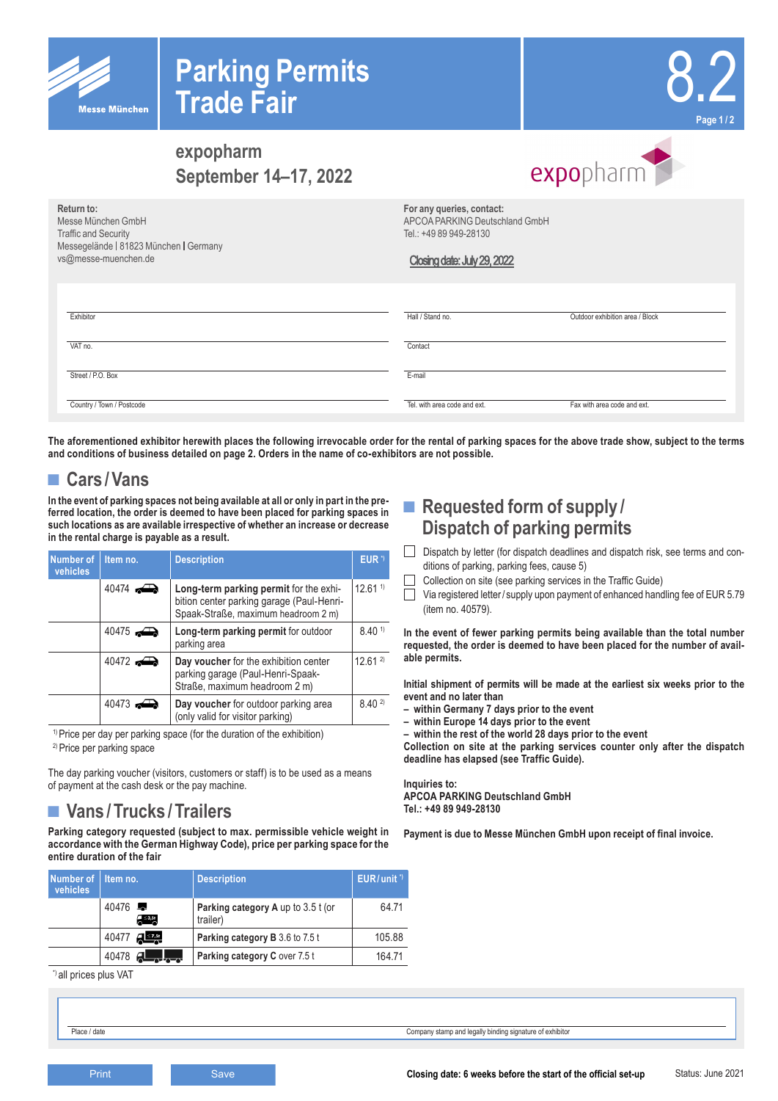



# **expopharm September 14–17, 2022**

| Return to:<br>Messe München GmbH<br><b>Traffic and Security</b><br>Messegelände   81823 München   Germany<br>vs@messe-muenchen.de | For any queries, contact:<br>APCOA PARKING Deutschland GmbH<br>Tel.: +49 89 949-28130<br>Closing date: July 29, 2022 |                                 |
|-----------------------------------------------------------------------------------------------------------------------------------|----------------------------------------------------------------------------------------------------------------------|---------------------------------|
| Exhibitor                                                                                                                         | Hall / Stand no.                                                                                                     | Outdoor exhibition area / Block |
| VAT no.                                                                                                                           | Contact                                                                                                              |                                 |
| Street / P.O. Box                                                                                                                 | E-mail                                                                                                               |                                 |
| Country / Town / Postcode                                                                                                         | Tel, with area code and ext.                                                                                         | Fax with area code and ext.     |

**The aforementioned exhibitor herewith places the following irrevocable order for the rental of parking spaces for the above trade show, subject to the terms and conditions of business detailed on page 2. Orders in the name of co-exhibitors are not possible.**

# **■ Cars /Vans**

**In the event of parking spaces not being available at all or only in part in the preferred location, the order is deemed to have been placed for parking spaces in such locations as are available irrespective of whether an increase or decrease in the rental charge is payable as a result.**

| Number of<br>vehicles                                   | Item no.            | <b>Description</b>                                                                                                         | EUR <sup>1</sup>   |
|---------------------------------------------------------|---------------------|----------------------------------------------------------------------------------------------------------------------------|--------------------|
|                                                         | 40474               | Long-term parking permit for the exhi-<br>bition center parking garage (Paul-Henri-<br>Spaak-Straße, maximum headroom 2 m) | 12.61 <sup>1</sup> |
|                                                         | 40475               | Long-term parking permit for outdoor<br>parking area                                                                       | 8.40 <sup>1</sup>  |
|                                                         | $40472 \rightarrow$ | Day voucher for the exhibition center<br>parking garage (Paul-Henri-Spaak-<br>Straße, maximum headroom 2 m)                | $12.61^{2}$        |
| $40473 \rightarrow$<br>(only valid for visitor parking) |                     | Day voucher for outdoor parking area                                                                                       | $8.40^{2}$         |

<sup>1)</sup> Price per day per parking space (for the duration of the exhibition) 2) Price per parking space

The day parking voucher (visitors, customers or staff) is to be used as a means of payment at the cash desk or the pay machine.

# **■ Vans /Trucks /Trailers**

**Parking category requested (subject to max. permissible vehicle weight in accordance with the German Highway Code), price per parking space for the entire duration of the fair**

| Number of<br>vehicles | Item no. |           | <b>Description</b>                             | $EUR/unit$ <sup>"</sup> |
|-----------------------|----------|-----------|------------------------------------------------|-------------------------|
|                       | 40476    | $A = 3.5$ | Parking category A up to 3.5 t (or<br>trailer) | 64.71                   |
|                       | 40477    | ्राडस्य   | <b>Parking category B</b> 3.6 to 7.5 t         | 105.88                  |
|                       | 40478    |           | Parking category C over 7.5 t                  | 164.71                  |

\*) all prices plus VAT

### ■ **Requested form of supply Dispatch of parking permits**

Dispatch by letter (for dispatch deadlines and dispatch risk, see terms and conditions of parking, parking fees, cause 5)

expopharm

- Collection on site (see parking services in the Traffic Guide)
- $\Box$  Via registered letter/ supply upon payment of enhanced handling fee of EUR 5.79 (item no. 40579).

**In the event of fewer parking permits being available than the total number requested, the order is deemed to have been placed for the number of available permits.**

**Initial shipment of permits will be made at the earliest six weeks prior to the event and no later than** 

- **within Germany 7 days prior to the event**
- **within Europe 14 days prior to the event**

**– within the rest of the world 28 days prior to the event**

**Collection on site at the parking services counter only after the dispatch deadline has elapsed (see Traffic Guide).**

#### **Inquiries to: APCOA PARKING Deutschland GmbH Tel.: +49 89 949-28130**

**Payment is due to Messe München GmbH upon receipt of final invoice.**

Place / date Company stamp and legally binding signature of exhibitor